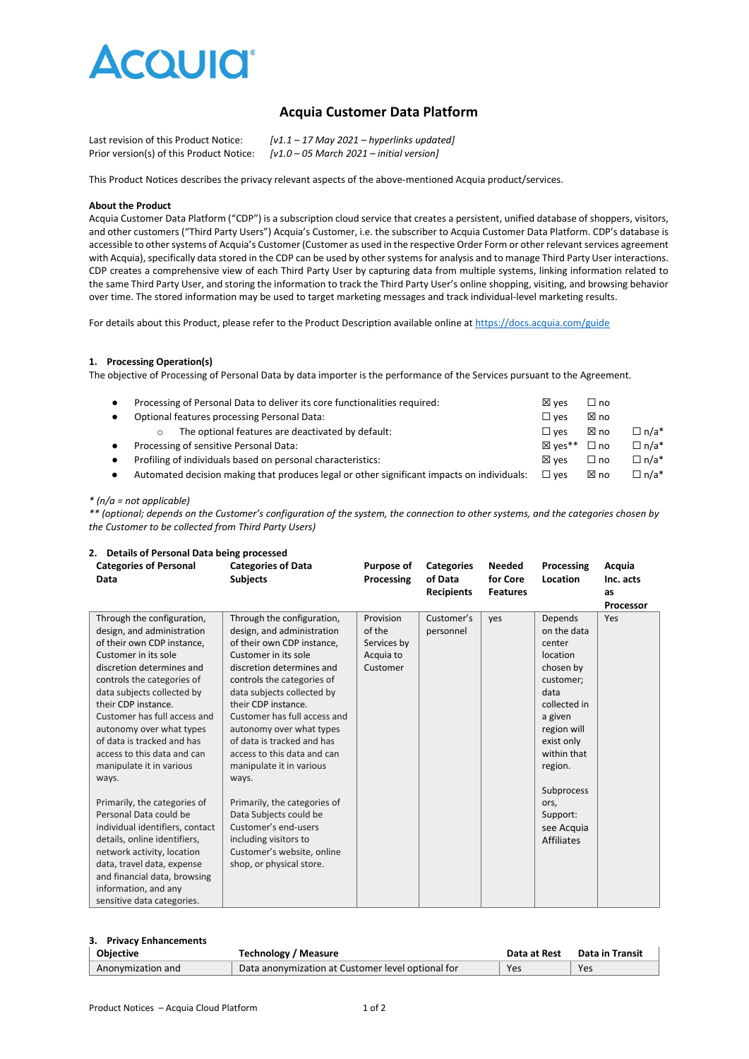

# **Acquia Customer Data Platform**

| Last revision of this Product Notice:    | $[v1.1 - 17$ May 2021 – hyperlinks updated]                |
|------------------------------------------|------------------------------------------------------------|
| Prior version(s) of this Product Notice: | $[v1.0 - 05 \text{ March } 2021 - \text{initial version}]$ |

This Product Notices describes the privacy relevant aspects of the above-mentioned Acquia product/services.

#### **About the Product**

Acquia Customer Data Platform ("CDP") is a subscription cloud service that creates a persistent, unified database of shoppers, visitors, and other customers ("Third Party Users") Acquia's Customer, i.e. the subscriber to Acquia Customer Data Platform. CDP's database is accessible to other systems of Acquia's Customer (Customer as used in the respective Order Form or other relevant services agreement with Acquia), specifically data stored in the CDP can be used by other systems for analysis and to manage Third Party User interactions. CDP creates a comprehensive view of each Third Party User by capturing data from multiple systems, linking information related to the same Third Party User, and storing the information to track the Third Party User's online shopping, visiting, and browsing behavior over time. The stored information may be used to target marketing messages and track individual-level marketing results.

For details about this Product, please refer to the Product Description available online at<https://docs.acquia.com/guide>

# **1. Processing Operation(s)**

The objective of Processing of Personal Data by data importer is the performance of the Services pursuant to the Agreement.

| $\bullet$ | Processing of Personal Data to deliver its core functionalities required:                  | ⊠ ves           | □ no         |             |
|-----------|--------------------------------------------------------------------------------------------|-----------------|--------------|-------------|
| $\bullet$ | Optional features processing Personal Data:                                                | $\square$ ves   | ⊠ no         |             |
|           | The optional features are deactivated by default:                                          | $\square$ ves   | ⊠ no         | $\Box$ n/a* |
| $\bullet$ | Processing of sensitive Personal Data:                                                     | ⊠ ves**         | $\Box$ no    | $\Box$ n/a* |
| $\bullet$ | Profiling of individuals based on personal characteristics:                                | $\boxtimes$ ves | $\square$ no | $\Box$ n/a* |
| $\bullet$ | Automated decision making that produces legal or other significant impacts on individuals: | $\square$ ves   | ⊠ no         | $\Box$ n/a* |
|           |                                                                                            |                 |              |             |

# *\* (n/a = not applicable)*

*\*\* (optional; depends on the Customer's configuration of the system, the connection to other systems, and the categories chosen by the Customer to be collected from Third Party Users)*

| 2. Details of Fersonal Data being processed<br><b>Categories of Personal</b><br>Data                                                                                                                                                                                                                                                                                                                                                                                                                                                                                                                                                                                        | <b>Categories of Data</b><br><b>Subjects</b>                                                                                                                                                                                                                                                                                                                                                                                                                                                                                                                      | <b>Purpose of</b><br>Processing                             | <b>Categories</b><br>of Data<br><b>Recipients</b> | <b>Needed</b><br>for Core<br><b>Features</b> | Processing<br>Location                                                                                                                                                                                                                | Acquia<br>Inc. acts<br>as<br>Processor |
|-----------------------------------------------------------------------------------------------------------------------------------------------------------------------------------------------------------------------------------------------------------------------------------------------------------------------------------------------------------------------------------------------------------------------------------------------------------------------------------------------------------------------------------------------------------------------------------------------------------------------------------------------------------------------------|-------------------------------------------------------------------------------------------------------------------------------------------------------------------------------------------------------------------------------------------------------------------------------------------------------------------------------------------------------------------------------------------------------------------------------------------------------------------------------------------------------------------------------------------------------------------|-------------------------------------------------------------|---------------------------------------------------|----------------------------------------------|---------------------------------------------------------------------------------------------------------------------------------------------------------------------------------------------------------------------------------------|----------------------------------------|
| Through the configuration,<br>design, and administration<br>of their own CDP instance,<br>Customer in its sole<br>discretion determines and<br>controls the categories of<br>data subjects collected by<br>their CDP instance.<br>Customer has full access and<br>autonomy over what types<br>of data is tracked and has<br>access to this data and can<br>manipulate it in various<br>ways.<br>Primarily, the categories of<br>Personal Data could be<br>individual identifiers, contact<br>details, online identifiers,<br>network activity, location<br>data, travel data, expense<br>and financial data, browsing<br>information, and any<br>sensitive data categories. | Through the configuration,<br>design, and administration<br>of their own CDP instance,<br>Customer in its sole<br>discretion determines and<br>controls the categories of<br>data subjects collected by<br>their CDP instance.<br>Customer has full access and<br>autonomy over what types<br>of data is tracked and has<br>access to this data and can<br>manipulate it in various<br>ways.<br>Primarily, the categories of<br>Data Subjects could be<br>Customer's end-users<br>including visitors to<br>Customer's website, online<br>shop, or physical store. | Provision<br>of the<br>Services by<br>Acquia to<br>Customer | Customer's<br>personnel                           | ves                                          | Depends<br>on the data<br>center<br>location<br>chosen by<br>customer:<br>data<br>collected in<br>a given<br>region will<br>exist only<br>within that<br>region.<br>Subprocess<br>ors,<br>Support:<br>see Acquia<br><b>Affiliates</b> | Yes                                    |

# **2. Details of Personal Data being processed**

#### **3. Privacy Enhancements**

| <b>Objective</b>  | Technology / Measure                              | Data at Rest | Data in Transit |  |
|-------------------|---------------------------------------------------|--------------|-----------------|--|
| Anonymization and | Data anonymization at Customer level optional for | Yes          | Yes             |  |